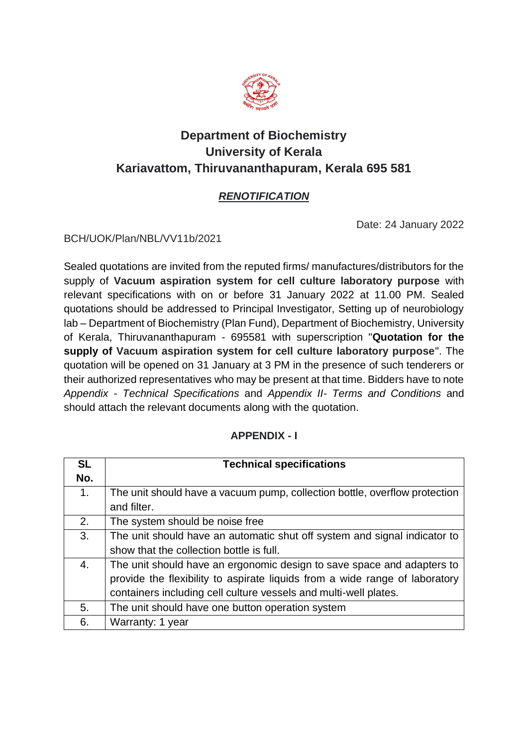

# **Department of Biochemistry University of Kerala Kariavattom, Thiruvananthapuram, Kerala 695 581**

## *RENOTIFICATION*

Date: 24 January 2022

BCH/UOK/Plan/NBL/VV11b/2021

Sealed quotations are invited from the reputed firms/ manufactures/distributors for the supply of **Vacuum aspiration system for cell culture laboratory purpose** with relevant specifications with on or before 31 January 2022 at 11.00 PM. Sealed quotations should be addressed to Principal Investigator, Setting up of neurobiology lab – Department of Biochemistry (Plan Fund), Department of Biochemistry, University of Kerala, Thiruvananthapuram - 695581 with superscription "**Quotation for the supply of Vacuum aspiration system for cell culture laboratory purpose**". The quotation will be opened on 31 January at 3 PM in the presence of such tenderers or their authorized representatives who may be present at that time. Bidders have to note *Appendix - Technical Specifications* and *Appendix II- Terms and Conditions* and should attach the relevant documents along with the quotation.

#### **APPENDIX - I**

| <b>SL</b> | <b>Technical specifications</b>                                             |
|-----------|-----------------------------------------------------------------------------|
| No.       |                                                                             |
| 1.        | The unit should have a vacuum pump, collection bottle, overflow protection  |
|           | and filter.                                                                 |
| 2.        | The system should be noise free                                             |
| 3.        | The unit should have an automatic shut off system and signal indicator to   |
|           | show that the collection bottle is full.                                    |
| 4.        | The unit should have an ergonomic design to save space and adapters to      |
|           | provide the flexibility to aspirate liquids from a wide range of laboratory |
|           | containers including cell culture vessels and multi-well plates.            |
| 5.        | The unit should have one button operation system                            |
| 6.        | Warranty: 1 year                                                            |